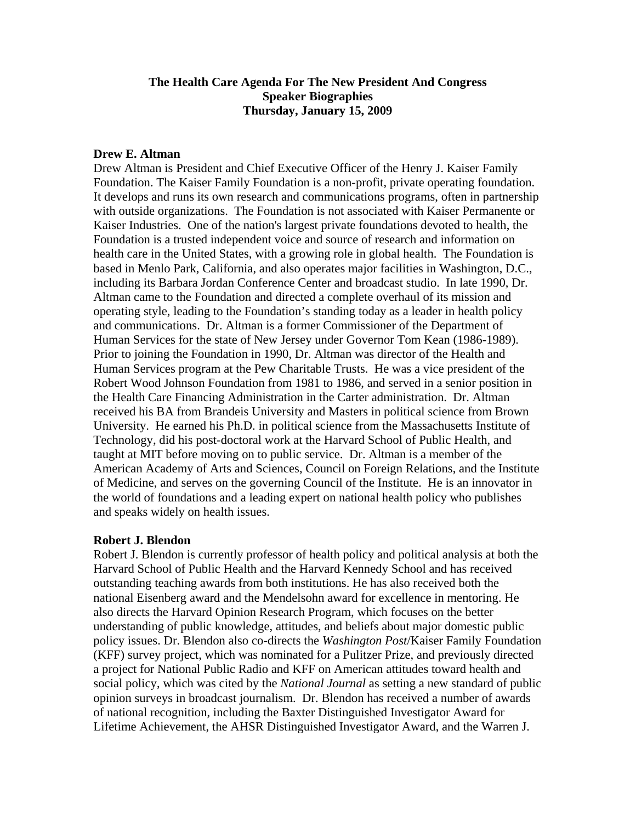## **The Health Care Agenda For The New President And Congress Speaker Biographies Thursday, January 15, 2009**

## **Drew E. Altman**

Drew Altman is President and Chief Executive Officer of the Henry J. Kaiser Family Foundation. The Kaiser Family Foundation is a non-profit, private operating foundation. It develops and runs its own research and communications programs, often in partnership with outside organizations. The Foundation is not associated with Kaiser Permanente or Kaiser Industries. One of the nation's largest private foundations devoted to health, the Foundation is a trusted independent voice and source of research and information on health care in the United States, with a growing role in global health. The Foundation is based in Menlo Park, California, and also operates major facilities in Washington, D.C., including its Barbara Jordan Conference Center and broadcast studio. In late 1990, Dr. Altman came to the Foundation and directed a complete overhaul of its mission and operating style, leading to the Foundation's standing today as a leader in health policy and communications. Dr. Altman is a former Commissioner of the Department of Human Services for the state of New Jersey under Governor Tom Kean (1986-1989). Prior to joining the Foundation in 1990, Dr. Altman was director of the Health and Human Services program at the Pew Charitable Trusts. He was a vice president of the Robert Wood Johnson Foundation from 1981 to 1986, and served in a senior position in the Health Care Financing Administration in the Carter administration. Dr. Altman received his BA from Brandeis University and Masters in political science from Brown University. He earned his Ph.D. in political science from the Massachusetts Institute of Technology, did his post-doctoral work at the Harvard School of Public Health, and taught at MIT before moving on to public service. Dr. Altman is a member of the American Academy of Arts and Sciences, Council on Foreign Relations, and the Institute of Medicine, and serves on the governing Council of the Institute. He is an innovator in the world of foundations and a leading expert on national health policy who publishes and speaks widely on health issues.

## **Robert J. Blendon**

Robert J. Blendon is currently professor of health policy and political analysis at both the Harvard School of Public Health and the Harvard Kennedy School and has received outstanding teaching awards from both institutions. He has also received both the national Eisenberg award and the Mendelsohn award for excellence in mentoring. He also directs the Harvard Opinion Research Program, which focuses on the better understanding of public knowledge, attitudes, and beliefs about major domestic public policy issues. Dr. Blendon also co-directs the *Washington Post*/Kaiser Family Foundation (KFF) survey project, which was nominated for a Pulitzer Prize, and previously directed a project for National Public Radio and KFF on American attitudes toward health and social policy, which was cited by the *National Journal* as setting a new standard of public opinion surveys in broadcast journalism. Dr. Blendon has received a number of awards of national recognition, including the Baxter Distinguished Investigator Award for Lifetime Achievement, the AHSR Distinguished Investigator Award, and the Warren J.